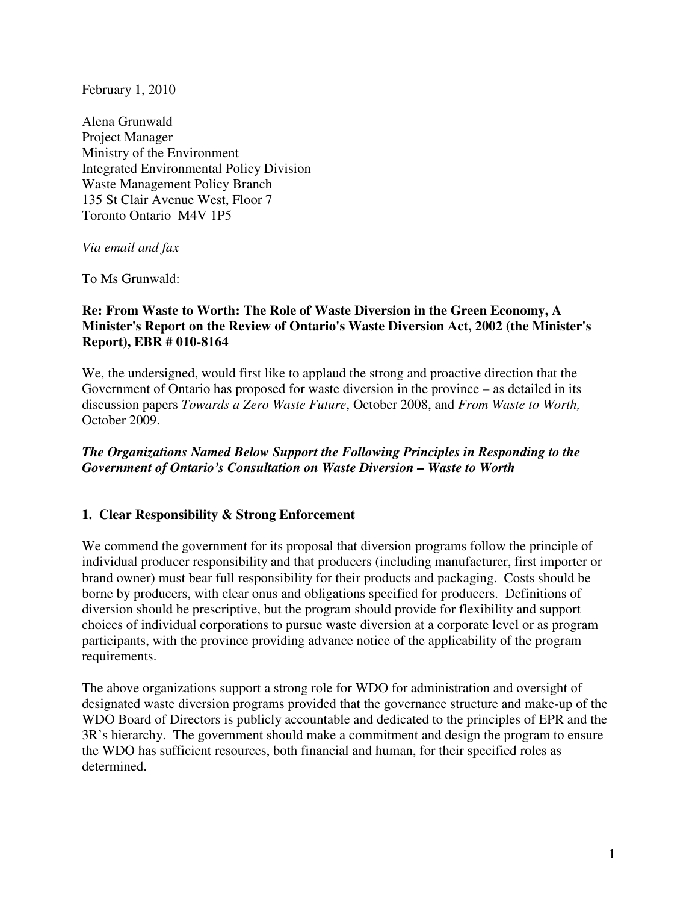February 1, 2010

Alena Grunwald Project Manager Ministry of the Environment Integrated Environmental Policy Division Waste Management Policy Branch 135 St Clair Avenue West, Floor 7 Toronto Ontario M4V 1P5

*Via email and fax* 

To Ms Grunwald:

#### **Re: From Waste to Worth: The Role of Waste Diversion in the Green Economy, A Minister's Report on the Review of Ontario's Waste Diversion Act, 2002 (the Minister's Report), EBR # 010-8164**

We, the undersigned, would first like to applaud the strong and proactive direction that the Government of Ontario has proposed for waste diversion in the province – as detailed in its discussion papers *Towards a Zero Waste Future*, October 2008, and *From Waste to Worth,*  October 2009.

## *The Organizations Named Below Support the Following Principles in Responding to the Government of Ontario's Consultation on Waste Diversion – Waste to Worth*

#### **1. Clear Responsibility & Strong Enforcement**

We commend the government for its proposal that diversion programs follow the principle of individual producer responsibility and that producers (including manufacturer, first importer or brand owner) must bear full responsibility for their products and packaging. Costs should be borne by producers, with clear onus and obligations specified for producers. Definitions of diversion should be prescriptive, but the program should provide for flexibility and support choices of individual corporations to pursue waste diversion at a corporate level or as program participants, with the province providing advance notice of the applicability of the program requirements.

The above organizations support a strong role for WDO for administration and oversight of designated waste diversion programs provided that the governance structure and make-up of the WDO Board of Directors is publicly accountable and dedicated to the principles of EPR and the 3R's hierarchy. The government should make a commitment and design the program to ensure the WDO has sufficient resources, both financial and human, for their specified roles as determined.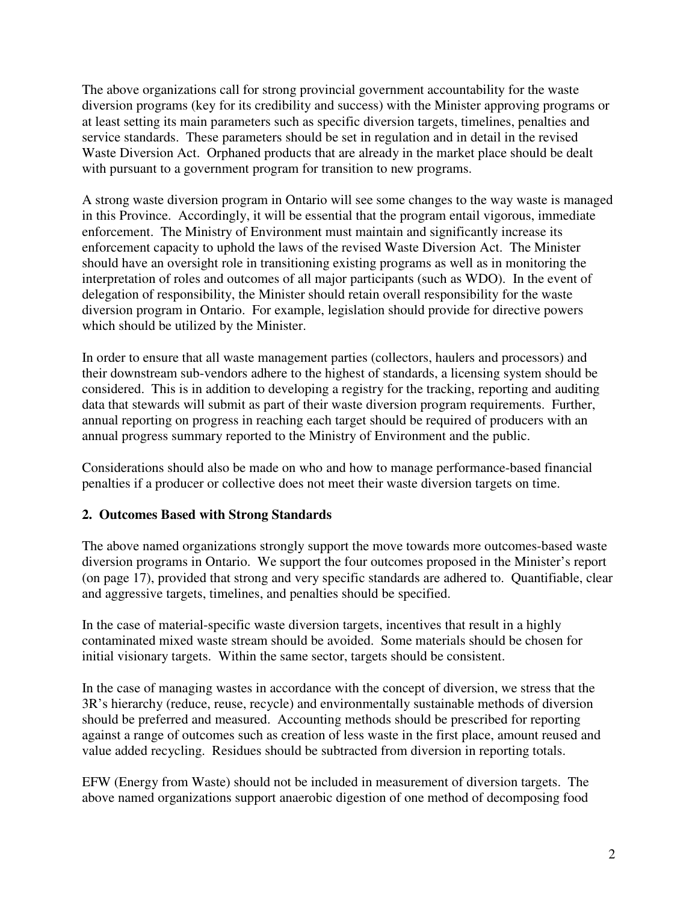The above organizations call for strong provincial government accountability for the waste diversion programs (key for its credibility and success) with the Minister approving programs or at least setting its main parameters such as specific diversion targets, timelines, penalties and service standards. These parameters should be set in regulation and in detail in the revised Waste Diversion Act. Orphaned products that are already in the market place should be dealt with pursuant to a government program for transition to new programs.

A strong waste diversion program in Ontario will see some changes to the way waste is managed in this Province. Accordingly, it will be essential that the program entail vigorous, immediate enforcement. The Ministry of Environment must maintain and significantly increase its enforcement capacity to uphold the laws of the revised Waste Diversion Act. The Minister should have an oversight role in transitioning existing programs as well as in monitoring the interpretation of roles and outcomes of all major participants (such as WDO). In the event of delegation of responsibility, the Minister should retain overall responsibility for the waste diversion program in Ontario. For example, legislation should provide for directive powers which should be utilized by the Minister.

In order to ensure that all waste management parties (collectors, haulers and processors) and their downstream sub-vendors adhere to the highest of standards, a licensing system should be considered. This is in addition to developing a registry for the tracking, reporting and auditing data that stewards will submit as part of their waste diversion program requirements. Further, annual reporting on progress in reaching each target should be required of producers with an annual progress summary reported to the Ministry of Environment and the public.

Considerations should also be made on who and how to manage performance-based financial penalties if a producer or collective does not meet their waste diversion targets on time.

## **2. Outcomes Based with Strong Standards**

The above named organizations strongly support the move towards more outcomes-based waste diversion programs in Ontario. We support the four outcomes proposed in the Minister's report (on page 17), provided that strong and very specific standards are adhered to. Quantifiable, clear and aggressive targets, timelines, and penalties should be specified.

In the case of material-specific waste diversion targets, incentives that result in a highly contaminated mixed waste stream should be avoided. Some materials should be chosen for initial visionary targets. Within the same sector, targets should be consistent.

In the case of managing wastes in accordance with the concept of diversion, we stress that the 3R's hierarchy (reduce, reuse, recycle) and environmentally sustainable methods of diversion should be preferred and measured. Accounting methods should be prescribed for reporting against a range of outcomes such as creation of less waste in the first place, amount reused and value added recycling. Residues should be subtracted from diversion in reporting totals.

EFW (Energy from Waste) should not be included in measurement of diversion targets. The above named organizations support anaerobic digestion of one method of decomposing food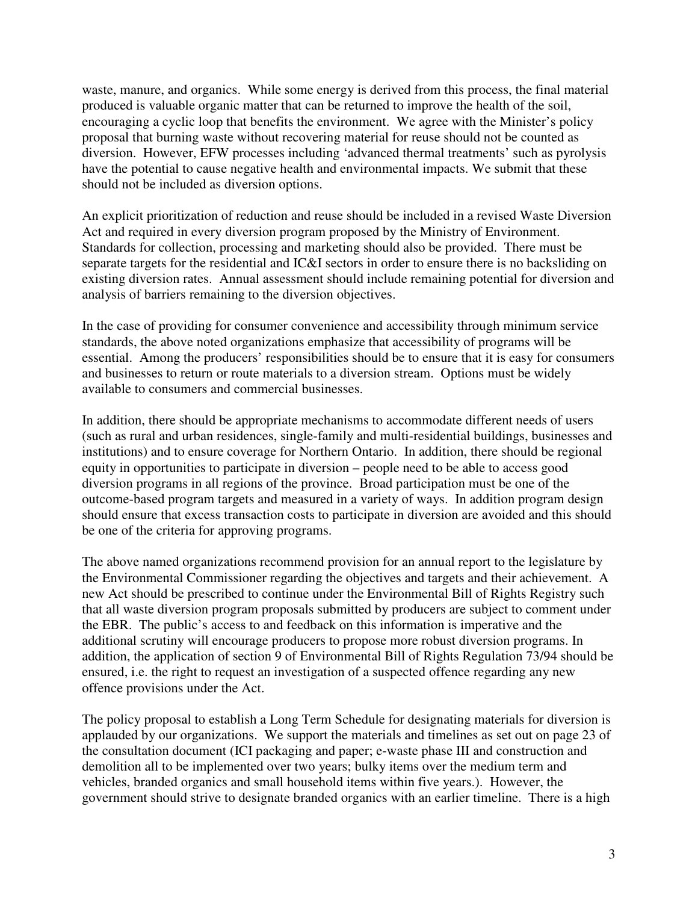waste, manure, and organics. While some energy is derived from this process, the final material produced is valuable organic matter that can be returned to improve the health of the soil, encouraging a cyclic loop that benefits the environment. We agree with the Minister's policy proposal that burning waste without recovering material for reuse should not be counted as diversion. However, EFW processes including 'advanced thermal treatments' such as pyrolysis have the potential to cause negative health and environmental impacts. We submit that these should not be included as diversion options.

An explicit prioritization of reduction and reuse should be included in a revised Waste Diversion Act and required in every diversion program proposed by the Ministry of Environment. Standards for collection, processing and marketing should also be provided. There must be separate targets for the residential and IC&I sectors in order to ensure there is no backsliding on existing diversion rates. Annual assessment should include remaining potential for diversion and analysis of barriers remaining to the diversion objectives.

In the case of providing for consumer convenience and accessibility through minimum service standards, the above noted organizations emphasize that accessibility of programs will be essential. Among the producers' responsibilities should be to ensure that it is easy for consumers and businesses to return or route materials to a diversion stream. Options must be widely available to consumers and commercial businesses.

In addition, there should be appropriate mechanisms to accommodate different needs of users (such as rural and urban residences, single-family and multi-residential buildings, businesses and institutions) and to ensure coverage for Northern Ontario. In addition, there should be regional equity in opportunities to participate in diversion – people need to be able to access good diversion programs in all regions of the province. Broad participation must be one of the outcome-based program targets and measured in a variety of ways. In addition program design should ensure that excess transaction costs to participate in diversion are avoided and this should be one of the criteria for approving programs.

The above named organizations recommend provision for an annual report to the legislature by the Environmental Commissioner regarding the objectives and targets and their achievement. A new Act should be prescribed to continue under the Environmental Bill of Rights Registry such that all waste diversion program proposals submitted by producers are subject to comment under the EBR. The public's access to and feedback on this information is imperative and the additional scrutiny will encourage producers to propose more robust diversion programs. In addition, the application of section 9 of Environmental Bill of Rights Regulation 73/94 should be ensured, i.e. the right to request an investigation of a suspected offence regarding any new offence provisions under the Act.

The policy proposal to establish a Long Term Schedule for designating materials for diversion is applauded by our organizations. We support the materials and timelines as set out on page 23 of the consultation document (ICI packaging and paper; e-waste phase III and construction and demolition all to be implemented over two years; bulky items over the medium term and vehicles, branded organics and small household items within five years.). However, the government should strive to designate branded organics with an earlier timeline. There is a high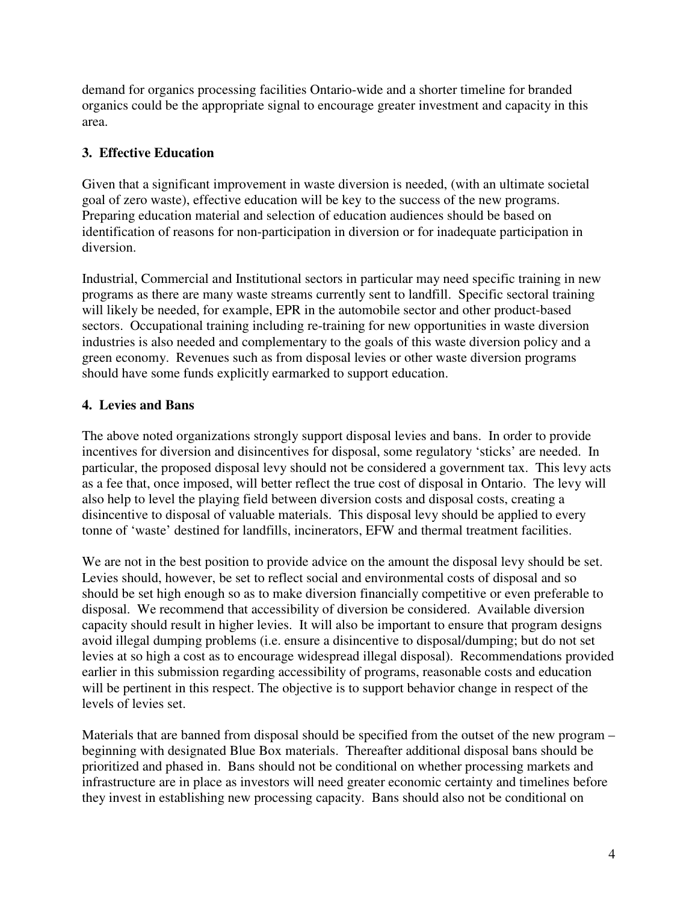demand for organics processing facilities Ontario-wide and a shorter timeline for branded organics could be the appropriate signal to encourage greater investment and capacity in this area.

# **3. Effective Education**

Given that a significant improvement in waste diversion is needed, (with an ultimate societal goal of zero waste), effective education will be key to the success of the new programs. Preparing education material and selection of education audiences should be based on identification of reasons for non-participation in diversion or for inadequate participation in diversion.

Industrial, Commercial and Institutional sectors in particular may need specific training in new programs as there are many waste streams currently sent to landfill. Specific sectoral training will likely be needed, for example, EPR in the automobile sector and other product-based sectors. Occupational training including re-training for new opportunities in waste diversion industries is also needed and complementary to the goals of this waste diversion policy and a green economy. Revenues such as from disposal levies or other waste diversion programs should have some funds explicitly earmarked to support education.

# **4. Levies and Bans**

The above noted organizations strongly support disposal levies and bans. In order to provide incentives for diversion and disincentives for disposal, some regulatory 'sticks' are needed. In particular, the proposed disposal levy should not be considered a government tax. This levy acts as a fee that, once imposed, will better reflect the true cost of disposal in Ontario. The levy will also help to level the playing field between diversion costs and disposal costs, creating a disincentive to disposal of valuable materials. This disposal levy should be applied to every tonne of 'waste' destined for landfills, incinerators, EFW and thermal treatment facilities.

We are not in the best position to provide advice on the amount the disposal levy should be set. Levies should, however, be set to reflect social and environmental costs of disposal and so should be set high enough so as to make diversion financially competitive or even preferable to disposal. We recommend that accessibility of diversion be considered. Available diversion capacity should result in higher levies. It will also be important to ensure that program designs avoid illegal dumping problems (i.e. ensure a disincentive to disposal/dumping; but do not set levies at so high a cost as to encourage widespread illegal disposal). Recommendations provided earlier in this submission regarding accessibility of programs, reasonable costs and education will be pertinent in this respect. The objective is to support behavior change in respect of the levels of levies set.

Materials that are banned from disposal should be specified from the outset of the new program – beginning with designated Blue Box materials. Thereafter additional disposal bans should be prioritized and phased in. Bans should not be conditional on whether processing markets and infrastructure are in place as investors will need greater economic certainty and timelines before they invest in establishing new processing capacity. Bans should also not be conditional on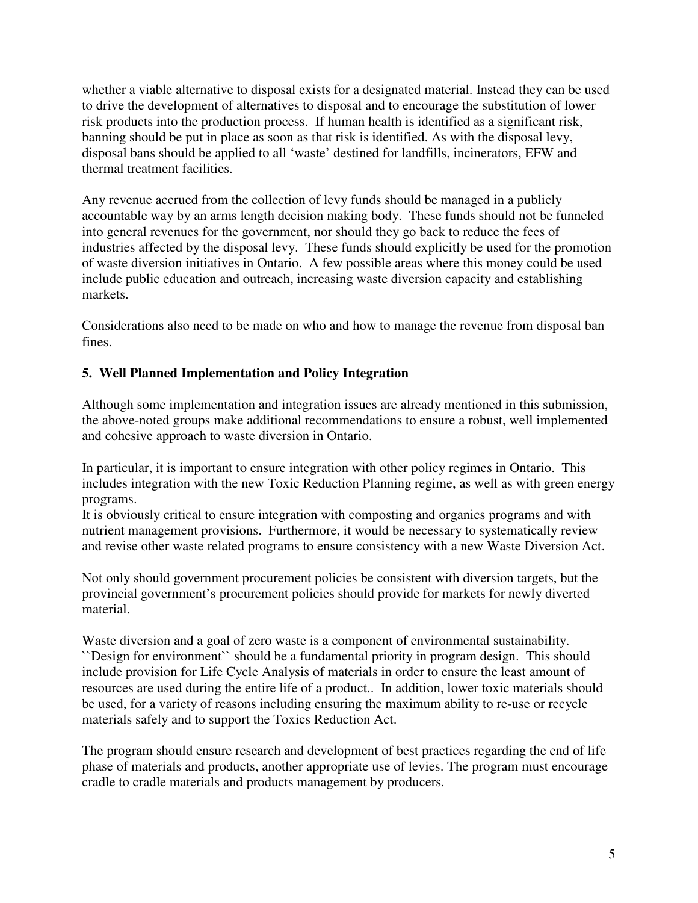whether a viable alternative to disposal exists for a designated material. Instead they can be used to drive the development of alternatives to disposal and to encourage the substitution of lower risk products into the production process. If human health is identified as a significant risk, banning should be put in place as soon as that risk is identified. As with the disposal levy, disposal bans should be applied to all 'waste' destined for landfills, incinerators, EFW and thermal treatment facilities.

Any revenue accrued from the collection of levy funds should be managed in a publicly accountable way by an arms length decision making body. These funds should not be funneled into general revenues for the government, nor should they go back to reduce the fees of industries affected by the disposal levy. These funds should explicitly be used for the promotion of waste diversion initiatives in Ontario. A few possible areas where this money could be used include public education and outreach, increasing waste diversion capacity and establishing markets.

Considerations also need to be made on who and how to manage the revenue from disposal ban fines.

# **5. Well Planned Implementation and Policy Integration**

Although some implementation and integration issues are already mentioned in this submission, the above-noted groups make additional recommendations to ensure a robust, well implemented and cohesive approach to waste diversion in Ontario.

In particular, it is important to ensure integration with other policy regimes in Ontario. This includes integration with the new Toxic Reduction Planning regime, as well as with green energy programs.

It is obviously critical to ensure integration with composting and organics programs and with nutrient management provisions. Furthermore, it would be necessary to systematically review and revise other waste related programs to ensure consistency with a new Waste Diversion Act.

Not only should government procurement policies be consistent with diversion targets, but the provincial government's procurement policies should provide for markets for newly diverted material.

Waste diversion and a goal of zero waste is a component of environmental sustainability. ``Design for environment`` should be a fundamental priority in program design. This should include provision for Life Cycle Analysis of materials in order to ensure the least amount of resources are used during the entire life of a product.. In addition, lower toxic materials should be used, for a variety of reasons including ensuring the maximum ability to re-use or recycle materials safely and to support the Toxics Reduction Act.

The program should ensure research and development of best practices regarding the end of life phase of materials and products, another appropriate use of levies. The program must encourage cradle to cradle materials and products management by producers.